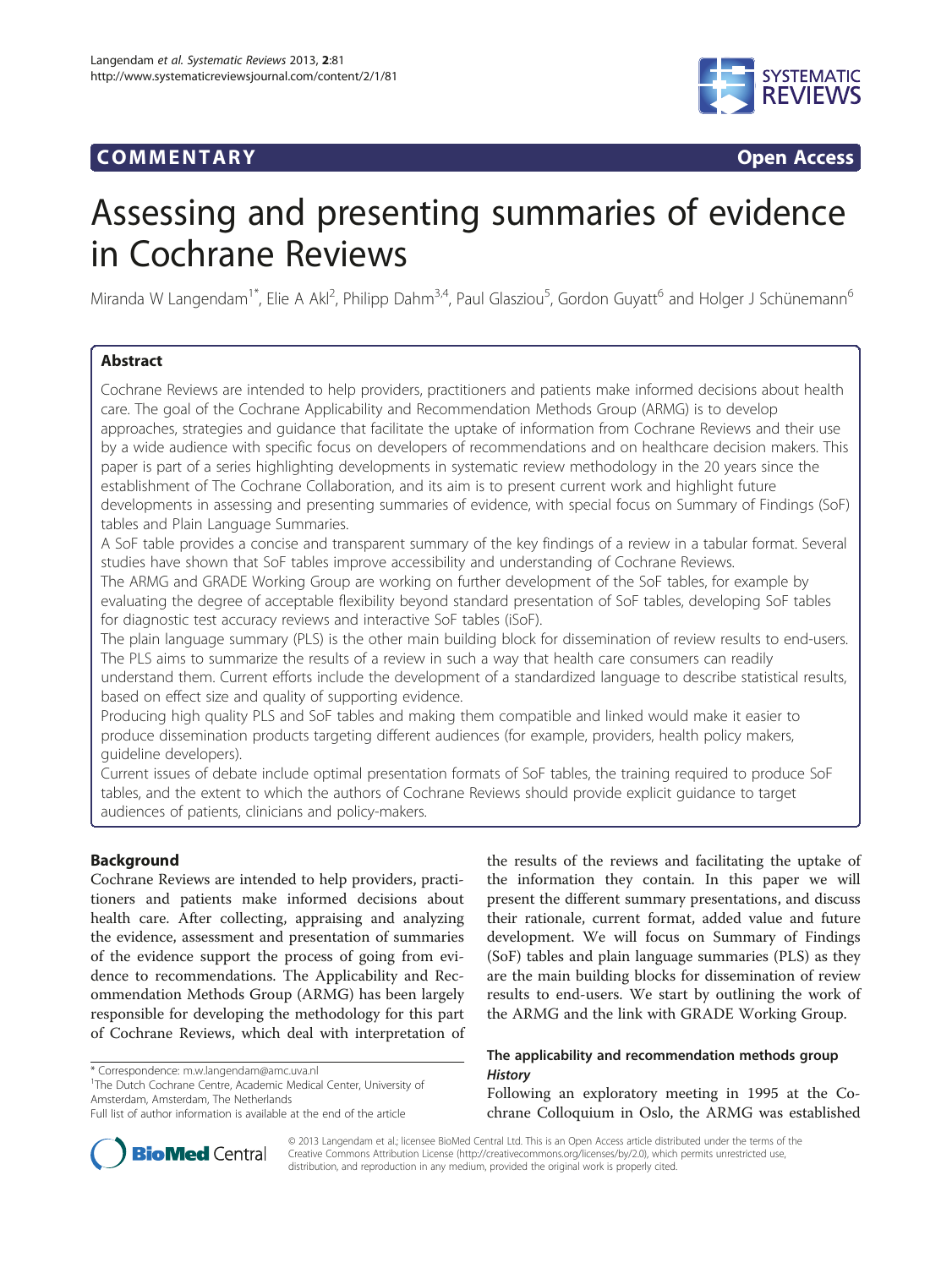# COMM EN TARY Open Access



# Assessing and presenting summaries of evidence in Cochrane Reviews

Miranda W Langendam<sup>1\*</sup>, Elie A Akl<sup>2</sup>, Philipp Dahm<sup>3,4</sup>, Paul Glasziou<sup>5</sup>, Gordon Guyatt<sup>6</sup> and Holger J Schünemann<sup>6</sup>

# Abstract

Cochrane Reviews are intended to help providers, practitioners and patients make informed decisions about health care. The goal of the Cochrane Applicability and Recommendation Methods Group (ARMG) is to develop approaches, strategies and guidance that facilitate the uptake of information from Cochrane Reviews and their use by a wide audience with specific focus on developers of recommendations and on healthcare decision makers. This paper is part of a series highlighting developments in systematic review methodology in the 20 years since the establishment of The Cochrane Collaboration, and its aim is to present current work and highlight future developments in assessing and presenting summaries of evidence, with special focus on Summary of Findings (SoF) tables and Plain Language Summaries.

A SoF table provides a concise and transparent summary of the key findings of a review in a tabular format. Several studies have shown that SoF tables improve accessibility and understanding of Cochrane Reviews.

The ARMG and GRADE Working Group are working on further development of the SoF tables, for example by evaluating the degree of acceptable flexibility beyond standard presentation of SoF tables, developing SoF tables for diagnostic test accuracy reviews and interactive SoF tables (iSoF).

The plain language summary (PLS) is the other main building block for dissemination of review results to end-users. The PLS aims to summarize the results of a review in such a way that health care consumers can readily

understand them. Current efforts include the development of a standardized language to describe statistical results, based on effect size and quality of supporting evidence.

Producing high quality PLS and SoF tables and making them compatible and linked would make it easier to produce dissemination products targeting different audiences (for example, providers, health policy makers, guideline developers).

Current issues of debate include optimal presentation formats of SoF tables, the training required to produce SoF tables, and the extent to which the authors of Cochrane Reviews should provide explicit guidance to target audiences of patients, clinicians and policy-makers.

# Background

Cochrane Reviews are intended to help providers, practitioners and patients make informed decisions about health care. After collecting, appraising and analyzing the evidence, assessment and presentation of summaries of the evidence support the process of going from evidence to recommendations. The Applicability and Recommendation Methods Group (ARMG) has been largely responsible for developing the methodology for this part of Cochrane Reviews, which deal with interpretation of

\* Correspondence: [m.w.langendam@amc.uva.nl](mailto:m.w.langendam@amc.uva.nl) <sup>1</sup>

<sup>1</sup>The Dutch Cochrane Centre, Academic Medical Center, University of Amsterdam, Amsterdam, The Netherlands

the results of the reviews and facilitating the uptake of the information they contain. In this paper we will present the different summary presentations, and discuss their rationale, current format, added value and future development. We will focus on Summary of Findings (SoF) tables and plain language summaries (PLS) as they are the main building blocks for dissemination of review results to end-users. We start by outlining the work of the ARMG and the link with GRADE Working Group.

# The applicability and recommendation methods group **History**

Following an exploratory meeting in 1995 at the Cochrane Colloquium in Oslo, the ARMG was established



© 2013 Langendam et al.; licensee BioMed Central Ltd. This is an Open Access article distributed under the terms of the Creative Commons Attribution License (<http://creativecommons.org/licenses/by/2.0>), which permits unrestricted use, distribution, and reproduction in any medium, provided the original work is properly cited.

Full list of author information is available at the end of the article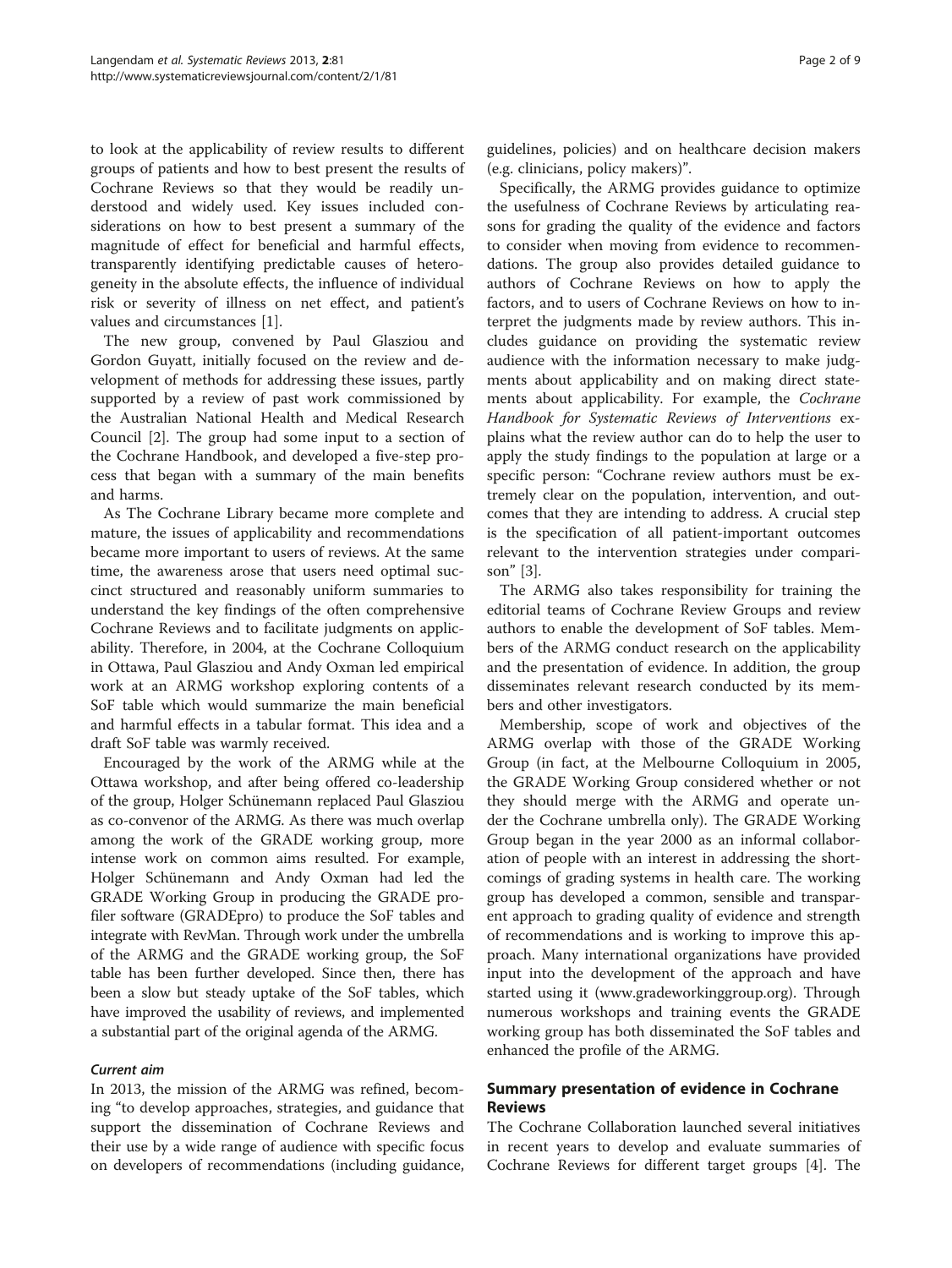to look at the applicability of review results to different groups of patients and how to best present the results of Cochrane Reviews so that they would be readily understood and widely used. Key issues included considerations on how to best present a summary of the magnitude of effect for beneficial and harmful effects, transparently identifying predictable causes of heterogeneity in the absolute effects, the influence of individual risk or severity of illness on net effect, and patient's values and circumstances [[1](#page-8-0)].

The new group, convened by Paul Glasziou and Gordon Guyatt, initially focused on the review and development of methods for addressing these issues, partly supported by a review of past work commissioned by the Australian National Health and Medical Research Council [[2\]](#page-8-0). The group had some input to a section of the Cochrane Handbook, and developed a five-step process that began with a summary of the main benefits and harms.

As The Cochrane Library became more complete and mature, the issues of applicability and recommendations became more important to users of reviews. At the same time, the awareness arose that users need optimal succinct structured and reasonably uniform summaries to understand the key findings of the often comprehensive Cochrane Reviews and to facilitate judgments on applicability. Therefore, in 2004, at the Cochrane Colloquium in Ottawa, Paul Glasziou and Andy Oxman led empirical work at an ARMG workshop exploring contents of a SoF table which would summarize the main beneficial and harmful effects in a tabular format. This idea and a draft SoF table was warmly received.

Encouraged by the work of the ARMG while at the Ottawa workshop, and after being offered co-leadership of the group, Holger Schünemann replaced Paul Glasziou as co-convenor of the ARMG. As there was much overlap among the work of the GRADE working group, more intense work on common aims resulted. For example, Holger Schünemann and Andy Oxman had led the GRADE Working Group in producing the GRADE profiler software (GRADEpro) to produce the SoF tables and integrate with RevMan. Through work under the umbrella of the ARMG and the GRADE working group, the SoF table has been further developed. Since then, there has been a slow but steady uptake of the SoF tables, which have improved the usability of reviews, and implemented a substantial part of the original agenda of the ARMG.

#### Current aim

In 2013, the mission of the ARMG was refined, becoming "to develop approaches, strategies, and guidance that support the dissemination of Cochrane Reviews and their use by a wide range of audience with specific focus on developers of recommendations (including guidance, guidelines, policies) and on healthcare decision makers (e.g. clinicians, policy makers)".

Specifically, the ARMG provides guidance to optimize the usefulness of Cochrane Reviews by articulating reasons for grading the quality of the evidence and factors to consider when moving from evidence to recommendations. The group also provides detailed guidance to authors of Cochrane Reviews on how to apply the factors, and to users of Cochrane Reviews on how to interpret the judgments made by review authors. This includes guidance on providing the systematic review audience with the information necessary to make judgments about applicability and on making direct statements about applicability. For example, the Cochrane Handbook for Systematic Reviews of Interventions explains what the review author can do to help the user to apply the study findings to the population at large or a specific person: "Cochrane review authors must be extremely clear on the population, intervention, and outcomes that they are intending to address. A crucial step is the specification of all patient-important outcomes relevant to the intervention strategies under comparison" [[3\]](#page-8-0).

The ARMG also takes responsibility for training the editorial teams of Cochrane Review Groups and review authors to enable the development of SoF tables. Members of the ARMG conduct research on the applicability and the presentation of evidence. In addition, the group disseminates relevant research conducted by its members and other investigators.

Membership, scope of work and objectives of the ARMG overlap with those of the GRADE Working Group (in fact, at the Melbourne Colloquium in 2005, the GRADE Working Group considered whether or not they should merge with the ARMG and operate under the Cochrane umbrella only). The GRADE Working Group began in the year 2000 as an informal collaboration of people with an interest in addressing the shortcomings of grading systems in health care. The working group has developed a common, sensible and transparent approach to grading quality of evidence and strength of recommendations and is working to improve this approach. Many international organizations have provided input into the development of the approach and have started using it [\(www.gradeworkinggroup.org](http://www.gradeworkinggroup.org)). Through numerous workshops and training events the GRADE working group has both disseminated the SoF tables and enhanced the profile of the ARMG.

# Summary presentation of evidence in Cochrane Reviews

The Cochrane Collaboration launched several initiatives in recent years to develop and evaluate summaries of Cochrane Reviews for different target groups [\[4](#page-8-0)]. The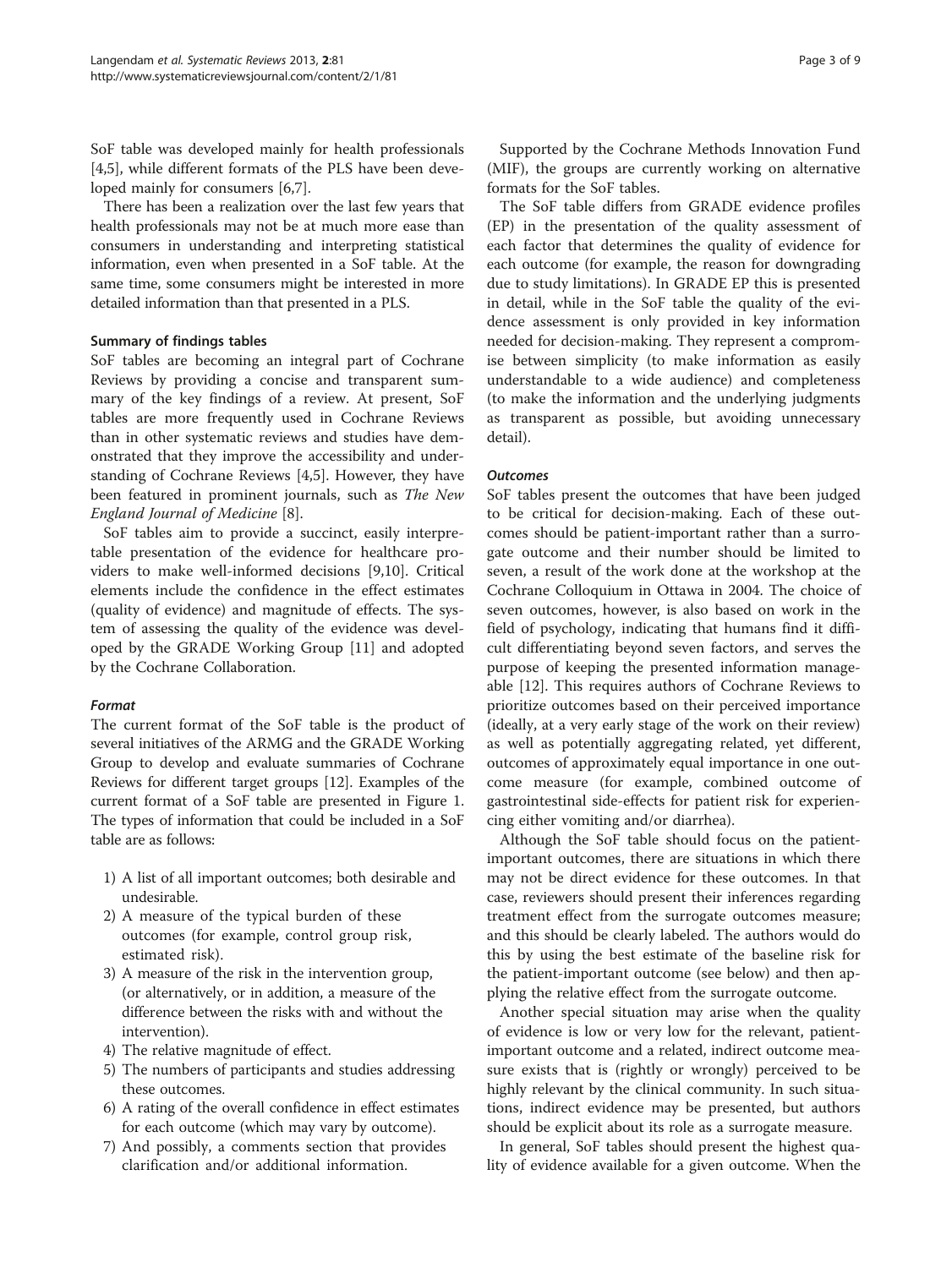SoF table was developed mainly for health professionals [[4,5\]](#page-8-0), while different formats of the PLS have been developed mainly for consumers [\[6,7](#page-8-0)].

There has been a realization over the last few years that health professionals may not be at much more ease than consumers in understanding and interpreting statistical information, even when presented in a SoF table. At the same time, some consumers might be interested in more detailed information than that presented in a PLS.

## Summary of findings tables

SoF tables are becoming an integral part of Cochrane Reviews by providing a concise and transparent summary of the key findings of a review. At present, SoF tables are more frequently used in Cochrane Reviews than in other systematic reviews and studies have demonstrated that they improve the accessibility and understanding of Cochrane Reviews [[4,5\]](#page-8-0). However, they have been featured in prominent journals, such as The New England Journal of Medicine [[8\]](#page-8-0).

SoF tables aim to provide a succinct, easily interpretable presentation of the evidence for healthcare providers to make well-informed decisions [\[9](#page-8-0),[10](#page-8-0)]. Critical elements include the confidence in the effect estimates (quality of evidence) and magnitude of effects. The system of assessing the quality of the evidence was developed by the GRADE Working Group [[11\]](#page-8-0) and adopted by the Cochrane Collaboration.

# Format

The current format of the SoF table is the product of several initiatives of the ARMG and the GRADE Working Group to develop and evaluate summaries of Cochrane Reviews for different target groups [[12\]](#page-8-0). Examples of the current format of a SoF table are presented in Figure [1](#page-3-0). The types of information that could be included in a SoF table are as follows:

- 1) A list of all important outcomes; both desirable and undesirable.
- 2) A measure of the typical burden of these outcomes (for example, control group risk, estimated risk).
- 3) A measure of the risk in the intervention group, (or alternatively, or in addition, a measure of the difference between the risks with and without the intervention).
- 4) The relative magnitude of effect.
- 5) The numbers of participants and studies addressing these outcomes.
- 6) A rating of the overall confidence in effect estimates for each outcome (which may vary by outcome).
- 7) And possibly, a comments section that provides clarification and/or additional information.

Supported by the Cochrane Methods Innovation Fund (MIF), the groups are currently working on alternative formats for the SoF tables.

The SoF table differs from GRADE evidence profiles (EP) in the presentation of the quality assessment of each factor that determines the quality of evidence for each outcome (for example, the reason for downgrading due to study limitations). In GRADE EP this is presented in detail, while in the SoF table the quality of the evidence assessment is only provided in key information needed for decision-making. They represent a compromise between simplicity (to make information as easily understandable to a wide audience) and completeness (to make the information and the underlying judgments as transparent as possible, but avoiding unnecessary detail).

## **Outcomes**

SoF tables present the outcomes that have been judged to be critical for decision-making. Each of these outcomes should be patient-important rather than a surrogate outcome and their number should be limited to seven, a result of the work done at the workshop at the Cochrane Colloquium in Ottawa in 2004. The choice of seven outcomes, however, is also based on work in the field of psychology, indicating that humans find it difficult differentiating beyond seven factors, and serves the purpose of keeping the presented information manageable [[12\]](#page-8-0). This requires authors of Cochrane Reviews to prioritize outcomes based on their perceived importance (ideally, at a very early stage of the work on their review) as well as potentially aggregating related, yet different, outcomes of approximately equal importance in one outcome measure (for example, combined outcome of gastrointestinal side-effects for patient risk for experiencing either vomiting and/or diarrhea).

Although the SoF table should focus on the patientimportant outcomes, there are situations in which there may not be direct evidence for these outcomes. In that case, reviewers should present their inferences regarding treatment effect from the surrogate outcomes measure; and this should be clearly labeled. The authors would do this by using the best estimate of the baseline risk for the patient-important outcome (see below) and then applying the relative effect from the surrogate outcome.

Another special situation may arise when the quality of evidence is low or very low for the relevant, patientimportant outcome and a related, indirect outcome measure exists that is (rightly or wrongly) perceived to be highly relevant by the clinical community. In such situations, indirect evidence may be presented, but authors should be explicit about its role as a surrogate measure.

In general, SoF tables should present the highest quality of evidence available for a given outcome. When the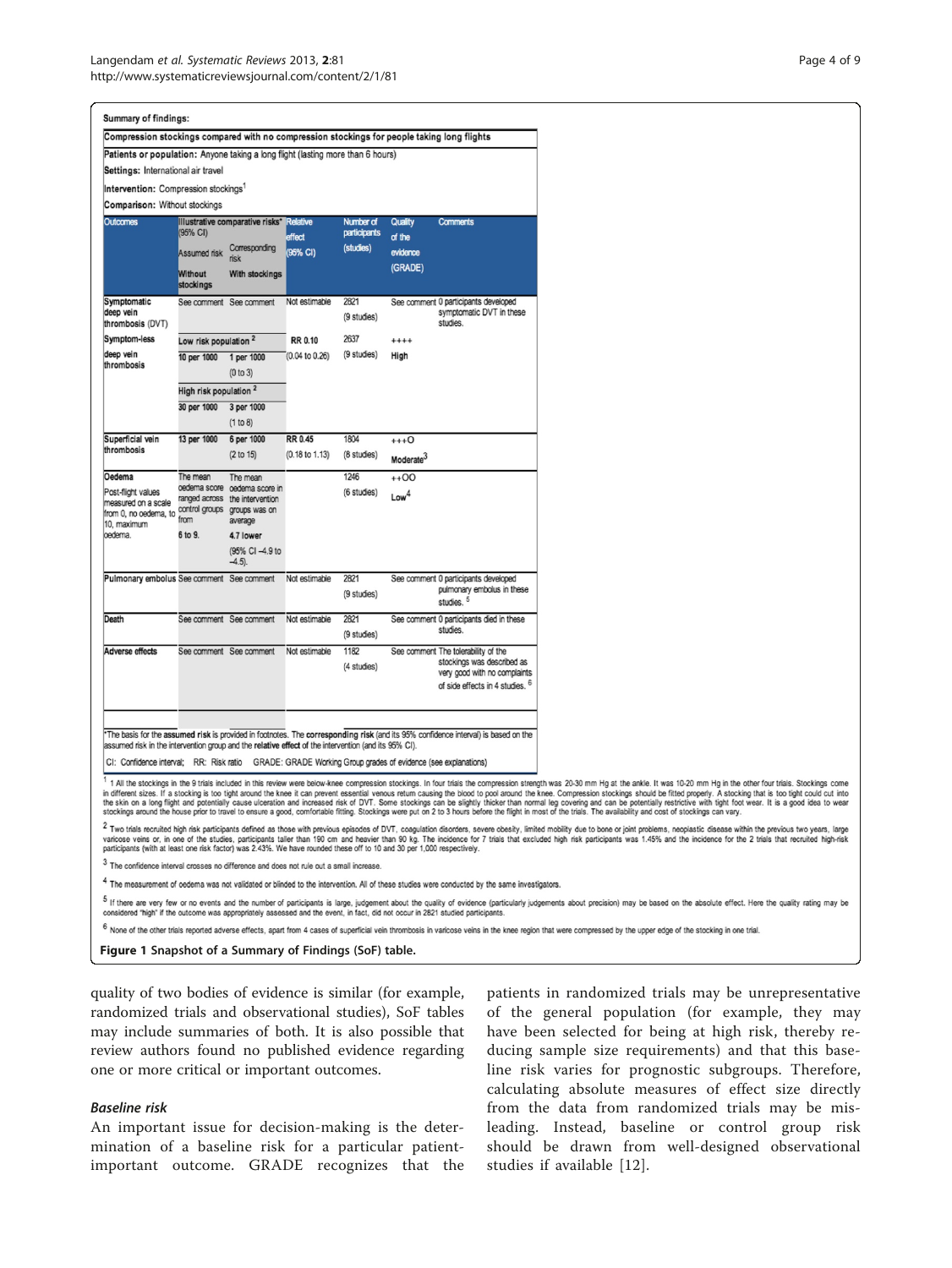<span id="page-3-0"></span>

| <b>Summary of findings:</b>                                                                                            |                                                               |                                                                                           |                                              |                                        |                                          |                                                                                                                                                 |                                                                                                                                                                                                                                                                                                                                                                                                                                                                                                                                                                                                                                                                                                                                                                                                                                                                                                                      |
|------------------------------------------------------------------------------------------------------------------------|---------------------------------------------------------------|-------------------------------------------------------------------------------------------|----------------------------------------------|----------------------------------------|------------------------------------------|-------------------------------------------------------------------------------------------------------------------------------------------------|----------------------------------------------------------------------------------------------------------------------------------------------------------------------------------------------------------------------------------------------------------------------------------------------------------------------------------------------------------------------------------------------------------------------------------------------------------------------------------------------------------------------------------------------------------------------------------------------------------------------------------------------------------------------------------------------------------------------------------------------------------------------------------------------------------------------------------------------------------------------------------------------------------------------|
| Compression stockings compared with no compression stockings for people taking long flights                            |                                                               |                                                                                           |                                              |                                        |                                          |                                                                                                                                                 |                                                                                                                                                                                                                                                                                                                                                                                                                                                                                                                                                                                                                                                                                                                                                                                                                                                                                                                      |
| Patients or population: Anyone taking a long flight (lasting more than 6 hours)                                        |                                                               |                                                                                           |                                              |                                        |                                          |                                                                                                                                                 |                                                                                                                                                                                                                                                                                                                                                                                                                                                                                                                                                                                                                                                                                                                                                                                                                                                                                                                      |
| Settings: International air travel                                                                                     |                                                               |                                                                                           |                                              |                                        |                                          |                                                                                                                                                 |                                                                                                                                                                                                                                                                                                                                                                                                                                                                                                                                                                                                                                                                                                                                                                                                                                                                                                                      |
| Intervention: Compression stockings <sup>1</sup>                                                                       |                                                               |                                                                                           |                                              |                                        |                                          |                                                                                                                                                 |                                                                                                                                                                                                                                                                                                                                                                                                                                                                                                                                                                                                                                                                                                                                                                                                                                                                                                                      |
| Comparison: Without stockings                                                                                          |                                                               |                                                                                           |                                              |                                        |                                          |                                                                                                                                                 |                                                                                                                                                                                                                                                                                                                                                                                                                                                                                                                                                                                                                                                                                                                                                                                                                                                                                                                      |
| Outcomes                                                                                                               | $(95% \text{ CI})$<br>Assumed risk                            | Illustrative comparative risks*<br>Corresponding<br>risk                                  | <b>Relative</b><br><b>effect</b><br>(95% CI) | Number of<br>participants<br>(studies) | Quality<br>of the<br>evidence<br>(GRADE) | <b>Comments</b>                                                                                                                                 |                                                                                                                                                                                                                                                                                                                                                                                                                                                                                                                                                                                                                                                                                                                                                                                                                                                                                                                      |
|                                                                                                                        | Without<br>stockings                                          | With stockings                                                                            |                                              |                                        |                                          |                                                                                                                                                 |                                                                                                                                                                                                                                                                                                                                                                                                                                                                                                                                                                                                                                                                                                                                                                                                                                                                                                                      |
| Symptomatic<br>deep vein<br>thrombosis (DVT)                                                                           |                                                               | See comment See comment                                                                   | Not estimable                                | 2821<br>(9 studies)                    |                                          | See comment 0 participants developed<br>symptomatic DVT in these<br>studies.                                                                    |                                                                                                                                                                                                                                                                                                                                                                                                                                                                                                                                                                                                                                                                                                                                                                                                                                                                                                                      |
| Symptom-less                                                                                                           | Low risk population <sup>2</sup>                              |                                                                                           | <b>RR 0.10</b>                               | 2637                                   | $***$                                    |                                                                                                                                                 |                                                                                                                                                                                                                                                                                                                                                                                                                                                                                                                                                                                                                                                                                                                                                                                                                                                                                                                      |
| deep vein<br>thrombosis                                                                                                | 10 per 1000                                                   | 1 per 1000<br>(0 to 3)                                                                    | $(0.04 \text{ to } 0.26)$                    | (9 studies)                            | High                                     |                                                                                                                                                 |                                                                                                                                                                                                                                                                                                                                                                                                                                                                                                                                                                                                                                                                                                                                                                                                                                                                                                                      |
|                                                                                                                        | High risk population <sup>2</sup>                             |                                                                                           |                                              |                                        |                                          |                                                                                                                                                 |                                                                                                                                                                                                                                                                                                                                                                                                                                                                                                                                                                                                                                                                                                                                                                                                                                                                                                                      |
|                                                                                                                        | 30 per 1000                                                   | 3 per 1000                                                                                |                                              |                                        |                                          |                                                                                                                                                 |                                                                                                                                                                                                                                                                                                                                                                                                                                                                                                                                                                                                                                                                                                                                                                                                                                                                                                                      |
|                                                                                                                        |                                                               | (1 to 8)                                                                                  |                                              |                                        |                                          |                                                                                                                                                 |                                                                                                                                                                                                                                                                                                                                                                                                                                                                                                                                                                                                                                                                                                                                                                                                                                                                                                                      |
| Superficial vein<br>thrombosis                                                                                         | 13 per 1000                                                   | 6 per 1000                                                                                | <b>RR 0.45</b>                               | 1804                                   | $***0$                                   |                                                                                                                                                 |                                                                                                                                                                                                                                                                                                                                                                                                                                                                                                                                                                                                                                                                                                                                                                                                                                                                                                                      |
|                                                                                                                        |                                                               | (2 to 15)                                                                                 | (0.18 to 1.13)                               | (8 studies)                            | Moderate <sup>3</sup>                    |                                                                                                                                                 |                                                                                                                                                                                                                                                                                                                                                                                                                                                                                                                                                                                                                                                                                                                                                                                                                                                                                                                      |
| Oedema<br>Post-flight values<br>measured on a scale<br>from 0, no oedema, to<br>10, maximum<br>oedema.                 | The mean<br>oedema score<br>control groups<br>from<br>6 to 9. | The mean<br>oedema score in<br>ranged across the intervention<br>groups was on<br>average |                                              | 1246<br>(6 studies)                    | $+00$<br>Low <sup>4</sup>                |                                                                                                                                                 |                                                                                                                                                                                                                                                                                                                                                                                                                                                                                                                                                                                                                                                                                                                                                                                                                                                                                                                      |
|                                                                                                                        |                                                               | 4.7 lower<br>(95% CI -4.9 to<br>$-4.5$ ).                                                 |                                              |                                        |                                          |                                                                                                                                                 |                                                                                                                                                                                                                                                                                                                                                                                                                                                                                                                                                                                                                                                                                                                                                                                                                                                                                                                      |
| Pulmonary embolus See comment See comment                                                                              |                                                               |                                                                                           | Not estimable                                | 2821<br>(9 studies)                    |                                          | See comment 0 participants developed<br>pulmonary embolus in these<br>studies. <sup>5</sup>                                                     |                                                                                                                                                                                                                                                                                                                                                                                                                                                                                                                                                                                                                                                                                                                                                                                                                                                                                                                      |
| Death                                                                                                                  |                                                               | See comment See comment                                                                   | Not estimable                                | 2821<br>(9 studies)                    |                                          | See comment 0 participants died in these<br>studies.                                                                                            |                                                                                                                                                                                                                                                                                                                                                                                                                                                                                                                                                                                                                                                                                                                                                                                                                                                                                                                      |
| Adverse effects                                                                                                        |                                                               | See comment See comment                                                                   | Not estimable                                | 1182<br>(4 studies)                    |                                          | See comment The tolerability of the<br>stockings was described as<br>very good with no complaints<br>of side effects in 4 studies. <sup>6</sup> |                                                                                                                                                                                                                                                                                                                                                                                                                                                                                                                                                                                                                                                                                                                                                                                                                                                                                                                      |
| assumed risk in the intervention group and the relative effect of the intervention (and its 95% CI).                   |                                                               |                                                                                           |                                              |                                        |                                          | *The basis for the assumed risk is provided in footnotes. The corresponding risk (and its 95% confidence interval) is based on the              |                                                                                                                                                                                                                                                                                                                                                                                                                                                                                                                                                                                                                                                                                                                                                                                                                                                                                                                      |
| CI: Confidence interval; RR: Risk ratio GRADE: GRADE Working Group grades of evidence (see explanations)               |                                                               |                                                                                           |                                              |                                        |                                          |                                                                                                                                                 |                                                                                                                                                                                                                                                                                                                                                                                                                                                                                                                                                                                                                                                                                                                                                                                                                                                                                                                      |
|                                                                                                                        |                                                               |                                                                                           |                                              |                                        |                                          |                                                                                                                                                 | 1 All the stockings in the 9 trials included in this review were below-knee compression stockings. In four trials the compression strength was 20-30 mm Hg at the ankle. It was 10-20 mm Hg in the other four trials. Stocking<br>in different sizes. If a stocking is too tight around the knee it can prevent essential venous return causing the blood to pool around the knee. Compression stockings should be fitted properly. A stocking that is too tight<br>the skin on a long flight and potentially cause ulceration and increased risk of DVT. Some stockings can be slightly thicker than normal leg covering and can be potentially restrictive with tight foot wear. It is a good id<br>stockings around the house prior to travel to ensure a good, comfortable fitting. Stockings were put on 2 to 3 hours before the flight in most of the trials. The availability and cost of stockings can vary. |
| participants (with at least one risk factor) was 2.43%. We have rounded these off to 10 and 30 per 1,000 respectively. |                                                               |                                                                                           |                                              |                                        |                                          |                                                                                                                                                 | <sup>2</sup> Two trials recruited high risk participants defined as those with previous episodes of DVT, coagulation disorders, severe obesity, limited mobility due to bone or joint problems, neoplastic disease within the previous<br>varicose veins or, in one of the studies, participants taller than 190 cm and heavier than 90 kg. The incidence for 7 trials that excluded high risk participants was 1.45% and the incidence for the 2 trials that recruited                                                                                                                                                                                                                                                                                                                                                                                                                                              |
| The confidence interval crosses no difference and does not rule out a small increase.                                  |                                                               |                                                                                           |                                              |                                        |                                          |                                                                                                                                                 |                                                                                                                                                                                                                                                                                                                                                                                                                                                                                                                                                                                                                                                                                                                                                                                                                                                                                                                      |
|                                                                                                                        |                                                               |                                                                                           |                                              |                                        |                                          | The measurement of oedema was not validated or blinded to the intervention. All of these studies were conducted by the same investigators.      |                                                                                                                                                                                                                                                                                                                                                                                                                                                                                                                                                                                                                                                                                                                                                                                                                                                                                                                      |

5 If there are very few or no events and the number of participants is large, judgement about the quality of evidence (particularly judgements about precision) may be based on the absolute effect. Here the quality rating m

6 None of the other trials reported adverse effects, apart from 4 cases of superficial vein thrombosis in varicose veins in the knee region that were compressed by the upper edge of the stocking in one trial.

Figure 1 Snapshot of a Summary of Findings (SoF) table.

quality of two bodies of evidence is similar (for example, randomized trials and observational studies), SoF tables may include summaries of both. It is also possible that review authors found no published evidence regarding one or more critical or important outcomes.

# Baseline risk

An important issue for decision-making is the determination of a baseline risk for a particular patientimportant outcome. GRADE recognizes that the patients in randomized trials may be unrepresentative of the general population (for example, they may have been selected for being at high risk, thereby reducing sample size requirements) and that this baseline risk varies for prognostic subgroups. Therefore, calculating absolute measures of effect size directly from the data from randomized trials may be misleading. Instead, baseline or control group risk should be drawn from well-designed observational studies if available [[12\]](#page-8-0).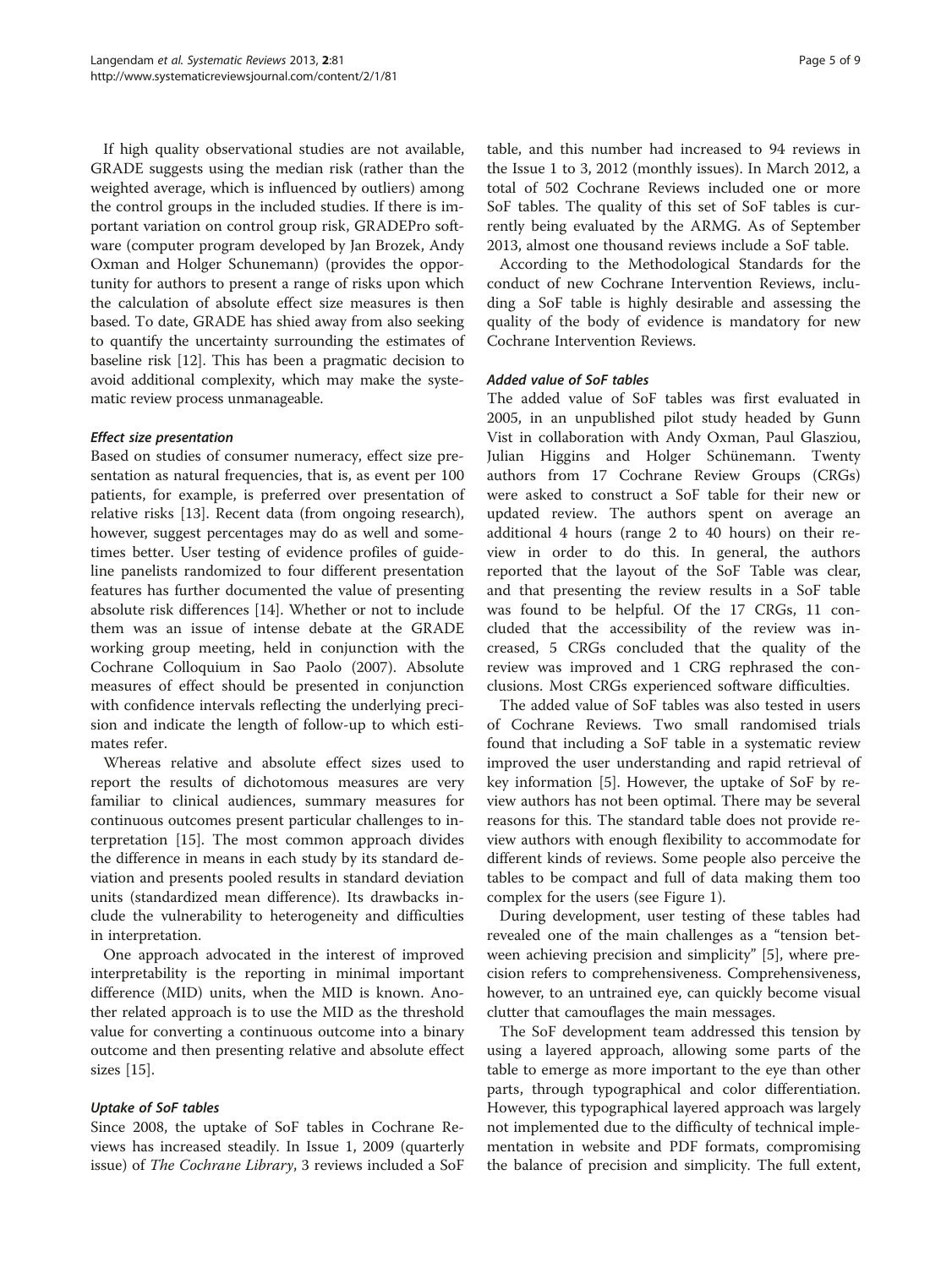If high quality observational studies are not available, GRADE suggests using the median risk (rather than the weighted average, which is influenced by outliers) among the control groups in the included studies. If there is important variation on control group risk, GRADEPro software (computer program developed by Jan Brozek, Andy Oxman and Holger Schunemann) (provides the opportunity for authors to present a range of risks upon which the calculation of absolute effect size measures is then based. To date, GRADE has shied away from also seeking to quantify the uncertainty surrounding the estimates of baseline risk [[12\]](#page-8-0). This has been a pragmatic decision to avoid additional complexity, which may make the systematic review process unmanageable.

# Effect size presentation

Based on studies of consumer numeracy, effect size presentation as natural frequencies, that is, as event per 100 patients, for example, is preferred over presentation of relative risks [[13\]](#page-8-0). Recent data (from ongoing research), however, suggest percentages may do as well and sometimes better. User testing of evidence profiles of guideline panelists randomized to four different presentation features has further documented the value of presenting absolute risk differences [\[14](#page-8-0)]. Whether or not to include them was an issue of intense debate at the GRADE working group meeting, held in conjunction with the Cochrane Colloquium in Sao Paolo (2007). Absolute measures of effect should be presented in conjunction with confidence intervals reflecting the underlying precision and indicate the length of follow-up to which estimates refer.

Whereas relative and absolute effect sizes used to report the results of dichotomous measures are very familiar to clinical audiences, summary measures for continuous outcomes present particular challenges to interpretation [[15\]](#page-8-0). The most common approach divides the difference in means in each study by its standard deviation and presents pooled results in standard deviation units (standardized mean difference). Its drawbacks include the vulnerability to heterogeneity and difficulties in interpretation.

One approach advocated in the interest of improved interpretability is the reporting in minimal important difference (MID) units, when the MID is known. Another related approach is to use the MID as the threshold value for converting a continuous outcome into a binary outcome and then presenting relative and absolute effect sizes [[15](#page-8-0)].

#### Uptake of SoF tables

Since 2008, the uptake of SoF tables in Cochrane Reviews has increased steadily. In Issue 1, 2009 (quarterly issue) of The Cochrane Library, 3 reviews included a SoF

table, and this number had increased to 94 reviews in the Issue 1 to 3, 2012 (monthly issues). In March 2012, a total of 502 Cochrane Reviews included one or more SoF tables. The quality of this set of SoF tables is currently being evaluated by the ARMG. As of September 2013, almost one thousand reviews include a SoF table.

According to the Methodological Standards for the conduct of new Cochrane Intervention Reviews, including a SoF table is highly desirable and assessing the quality of the body of evidence is mandatory for new Cochrane Intervention Reviews.

#### Added value of SoF tables

The added value of SoF tables was first evaluated in 2005, in an unpublished pilot study headed by Gunn Vist in collaboration with Andy Oxman, Paul Glasziou, Julian Higgins and Holger Schünemann. Twenty authors from 17 Cochrane Review Groups (CRGs) were asked to construct a SoF table for their new or updated review. The authors spent on average an additional 4 hours (range 2 to 40 hours) on their review in order to do this. In general, the authors reported that the layout of the SoF Table was clear, and that presenting the review results in a SoF table was found to be helpful. Of the 17 CRGs, 11 concluded that the accessibility of the review was increased, 5 CRGs concluded that the quality of the review was improved and 1 CRG rephrased the conclusions. Most CRGs experienced software difficulties.

The added value of SoF tables was also tested in users of Cochrane Reviews. Two small randomised trials found that including a SoF table in a systematic review improved the user understanding and rapid retrieval of key information [[5\]](#page-8-0). However, the uptake of SoF by review authors has not been optimal. There may be several reasons for this. The standard table does not provide review authors with enough flexibility to accommodate for different kinds of reviews. Some people also perceive the tables to be compact and full of data making them too complex for the users (see Figure [1\)](#page-3-0).

During development, user testing of these tables had revealed one of the main challenges as a "tension between achieving precision and simplicity" [[5\]](#page-8-0), where precision refers to comprehensiveness. Comprehensiveness, however, to an untrained eye, can quickly become visual clutter that camouflages the main messages.

The SoF development team addressed this tension by using a layered approach, allowing some parts of the table to emerge as more important to the eye than other parts, through typographical and color differentiation. However, this typographical layered approach was largely not implemented due to the difficulty of technical implementation in website and PDF formats, compromising the balance of precision and simplicity. The full extent,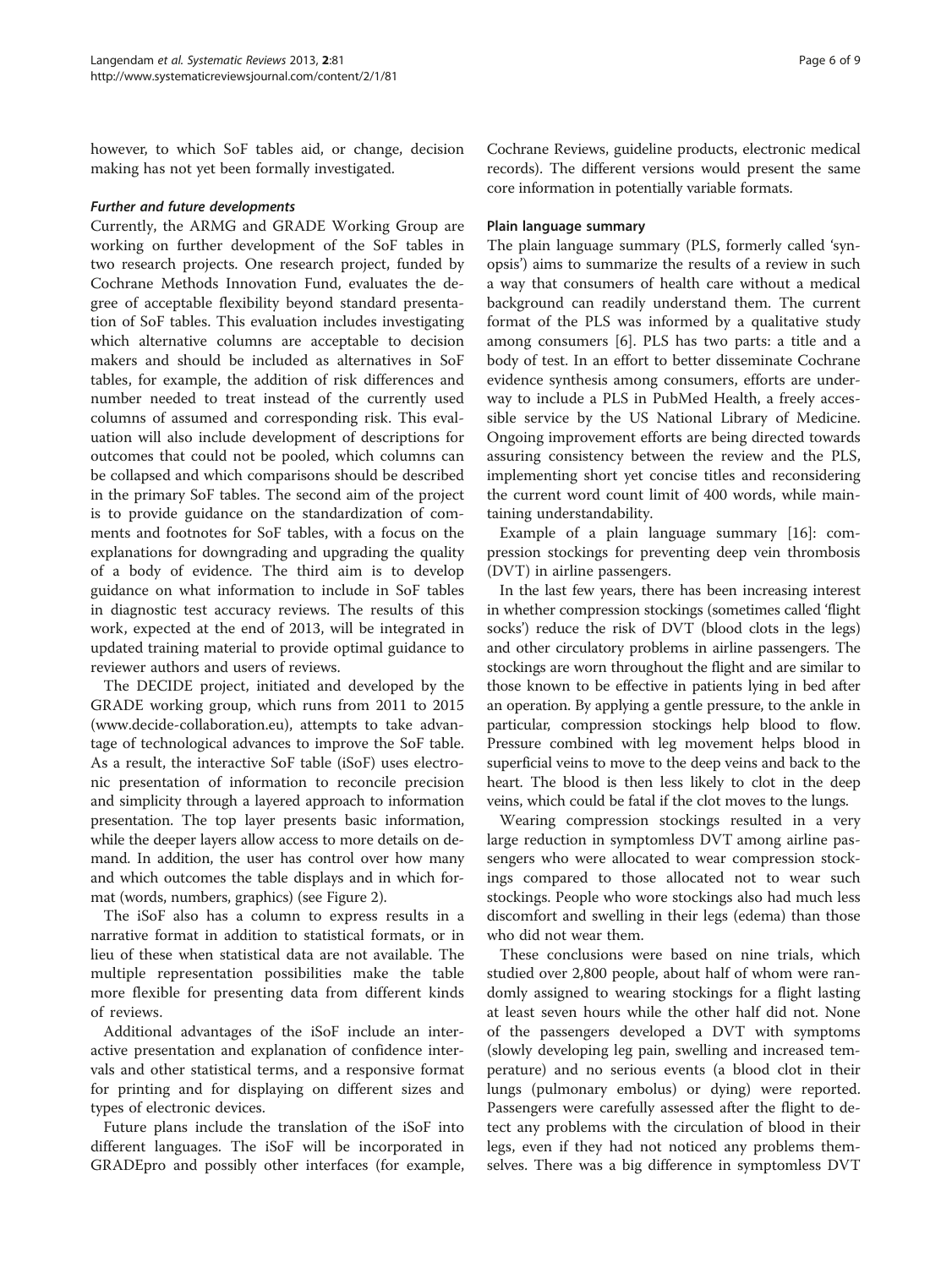however, to which SoF tables aid, or change, decision making has not yet been formally investigated.

#### Further and future developments

Currently, the ARMG and GRADE Working Group are working on further development of the SoF tables in two research projects. One research project, funded by Cochrane Methods Innovation Fund, evaluates the degree of acceptable flexibility beyond standard presentation of SoF tables. This evaluation includes investigating which alternative columns are acceptable to decision makers and should be included as alternatives in SoF tables, for example, the addition of risk differences and number needed to treat instead of the currently used columns of assumed and corresponding risk. This evaluation will also include development of descriptions for outcomes that could not be pooled, which columns can be collapsed and which comparisons should be described in the primary SoF tables. The second aim of the project is to provide guidance on the standardization of comments and footnotes for SoF tables, with a focus on the explanations for downgrading and upgrading the quality of a body of evidence. The third aim is to develop guidance on what information to include in SoF tables in diagnostic test accuracy reviews. The results of this work, expected at the end of 2013, will be integrated in updated training material to provide optimal guidance to reviewer authors and users of reviews.

The DECIDE project, initiated and developed by the GRADE working group, which runs from 2011 to 2015 ([www.decide-collaboration.eu\)](http://www.decide-collaboration.eu), attempts to take advantage of technological advances to improve the SoF table. As a result, the interactive SoF table (iSoF) uses electronic presentation of information to reconcile precision and simplicity through a layered approach to information presentation. The top layer presents basic information, while the deeper layers allow access to more details on demand. In addition, the user has control over how many and which outcomes the table displays and in which format (words, numbers, graphics) (see Figure [2](#page-6-0)).

The iSoF also has a column to express results in a narrative format in addition to statistical formats, or in lieu of these when statistical data are not available. The multiple representation possibilities make the table more flexible for presenting data from different kinds of reviews.

Additional advantages of the iSoF include an interactive presentation and explanation of confidence intervals and other statistical terms, and a responsive format for printing and for displaying on different sizes and types of electronic devices.

Future plans include the translation of the iSoF into different languages. The iSoF will be incorporated in GRADEpro and possibly other interfaces (for example,

Cochrane Reviews, guideline products, electronic medical records). The different versions would present the same core information in potentially variable formats.

#### Plain language summary

The plain language summary (PLS, formerly called 'synopsis') aims to summarize the results of a review in such a way that consumers of health care without a medical background can readily understand them. The current format of the PLS was informed by a qualitative study among consumers [\[6\]](#page-8-0). PLS has two parts: a title and a body of test. In an effort to better disseminate Cochrane evidence synthesis among consumers, efforts are underway to include a PLS in PubMed Health, a freely accessible service by the US National Library of Medicine. Ongoing improvement efforts are being directed towards assuring consistency between the review and the PLS, implementing short yet concise titles and reconsidering the current word count limit of 400 words, while maintaining understandability.

Example of a plain language summary [[16\]](#page-8-0): compression stockings for preventing deep vein thrombosis (DVT) in airline passengers.

In the last few years, there has been increasing interest in whether compression stockings (sometimes called 'flight socks') reduce the risk of DVT (blood clots in the legs) and other circulatory problems in airline passengers. The stockings are worn throughout the flight and are similar to those known to be effective in patients lying in bed after an operation. By applying a gentle pressure, to the ankle in particular, compression stockings help blood to flow. Pressure combined with leg movement helps blood in superficial veins to move to the deep veins and back to the heart. The blood is then less likely to clot in the deep veins, which could be fatal if the clot moves to the lungs.

Wearing compression stockings resulted in a very large reduction in symptomless DVT among airline passengers who were allocated to wear compression stockings compared to those allocated not to wear such stockings. People who wore stockings also had much less discomfort and swelling in their legs (edema) than those who did not wear them.

These conclusions were based on nine trials, which studied over 2,800 people, about half of whom were randomly assigned to wearing stockings for a flight lasting at least seven hours while the other half did not. None of the passengers developed a DVT with symptoms (slowly developing leg pain, swelling and increased temperature) and no serious events (a blood clot in their lungs (pulmonary embolus) or dying) were reported. Passengers were carefully assessed after the flight to detect any problems with the circulation of blood in their legs, even if they had not noticed any problems themselves. There was a big difference in symptomless DVT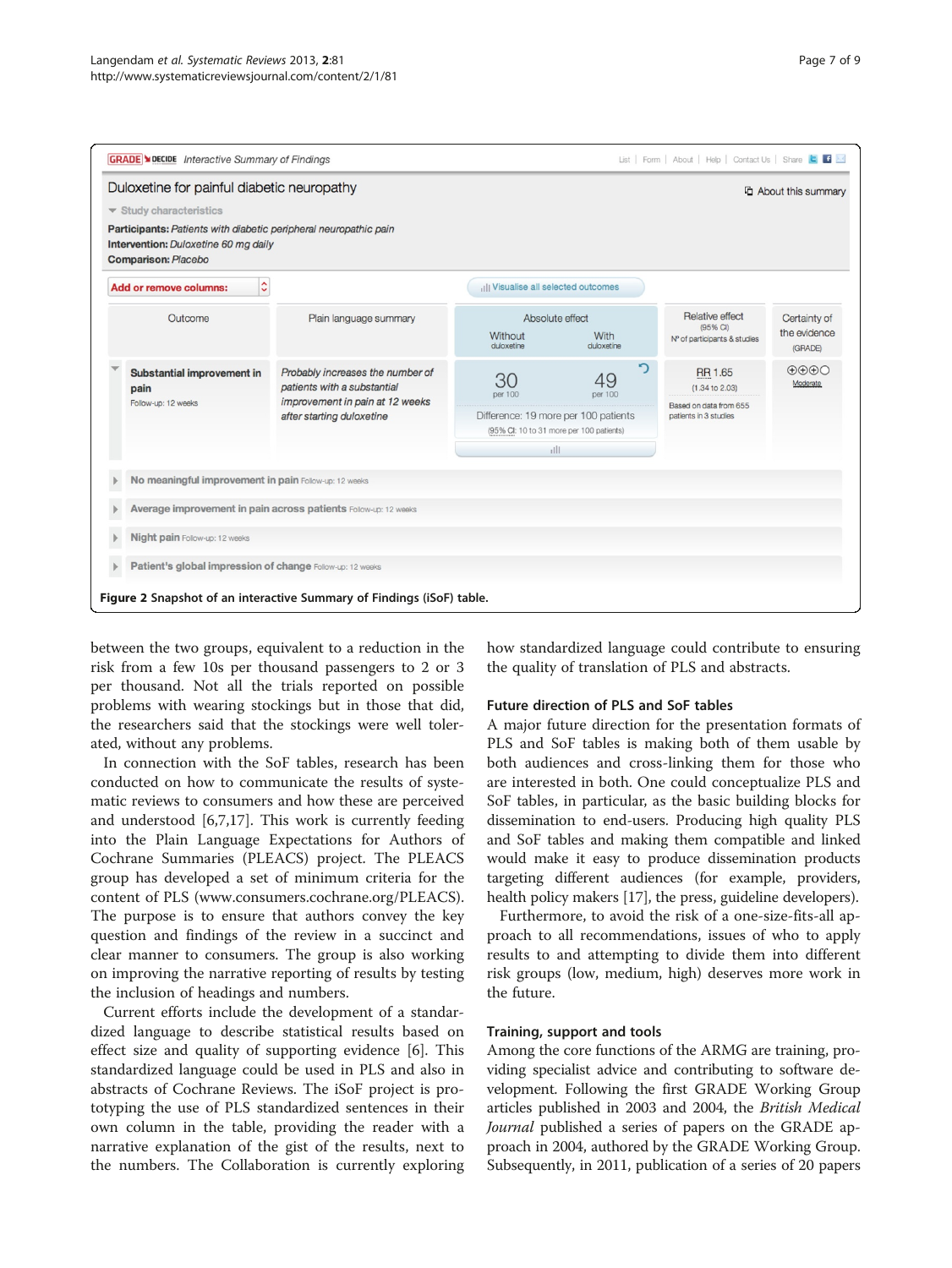<span id="page-6-0"></span>

between the two groups, equivalent to a reduction in the risk from a few 10s per thousand passengers to 2 or 3 per thousand. Not all the trials reported on possible problems with wearing stockings but in those that did, the researchers said that the stockings were well tolerated, without any problems.

In connection with the SoF tables, research has been conducted on how to communicate the results of systematic reviews to consumers and how these are perceived and understood [\[6](#page-8-0),[7](#page-8-0),[17](#page-8-0)]. This work is currently feeding into the Plain Language Expectations for Authors of Cochrane Summaries (PLEACS) project. The PLEACS group has developed a set of minimum criteria for the content of PLS ([www.consumers.cochrane.org/PLEACS](http://www.consumers.cochrane.org/PLEACS)). The purpose is to ensure that authors convey the key question and findings of the review in a succinct and clear manner to consumers. The group is also working on improving the narrative reporting of results by testing the inclusion of headings and numbers.

Current efforts include the development of a standardized language to describe statistical results based on effect size and quality of supporting evidence [[6\]](#page-8-0). This standardized language could be used in PLS and also in abstracts of Cochrane Reviews. The iSoF project is prototyping the use of PLS standardized sentences in their own column in the table, providing the reader with a narrative explanation of the gist of the results, next to the numbers. The Collaboration is currently exploring how standardized language could contribute to ensuring the quality of translation of PLS and abstracts.

#### Future direction of PLS and SoF tables

A major future direction for the presentation formats of PLS and SoF tables is making both of them usable by both audiences and cross-linking them for those who are interested in both. One could conceptualize PLS and SoF tables, in particular, as the basic building blocks for dissemination to end-users. Producing high quality PLS and SoF tables and making them compatible and linked would make it easy to produce dissemination products targeting different audiences (for example, providers, health policy makers [[17\]](#page-8-0), the press, guideline developers).

Furthermore, to avoid the risk of a one-size-fits-all approach to all recommendations, issues of who to apply results to and attempting to divide them into different risk groups (low, medium, high) deserves more work in the future.

#### Training, support and tools

Among the core functions of the ARMG are training, providing specialist advice and contributing to software development. Following the first GRADE Working Group articles published in 2003 and 2004, the British Medical Journal published a series of papers on the GRADE approach in 2004, authored by the GRADE Working Group. Subsequently, in 2011, publication of a series of 20 papers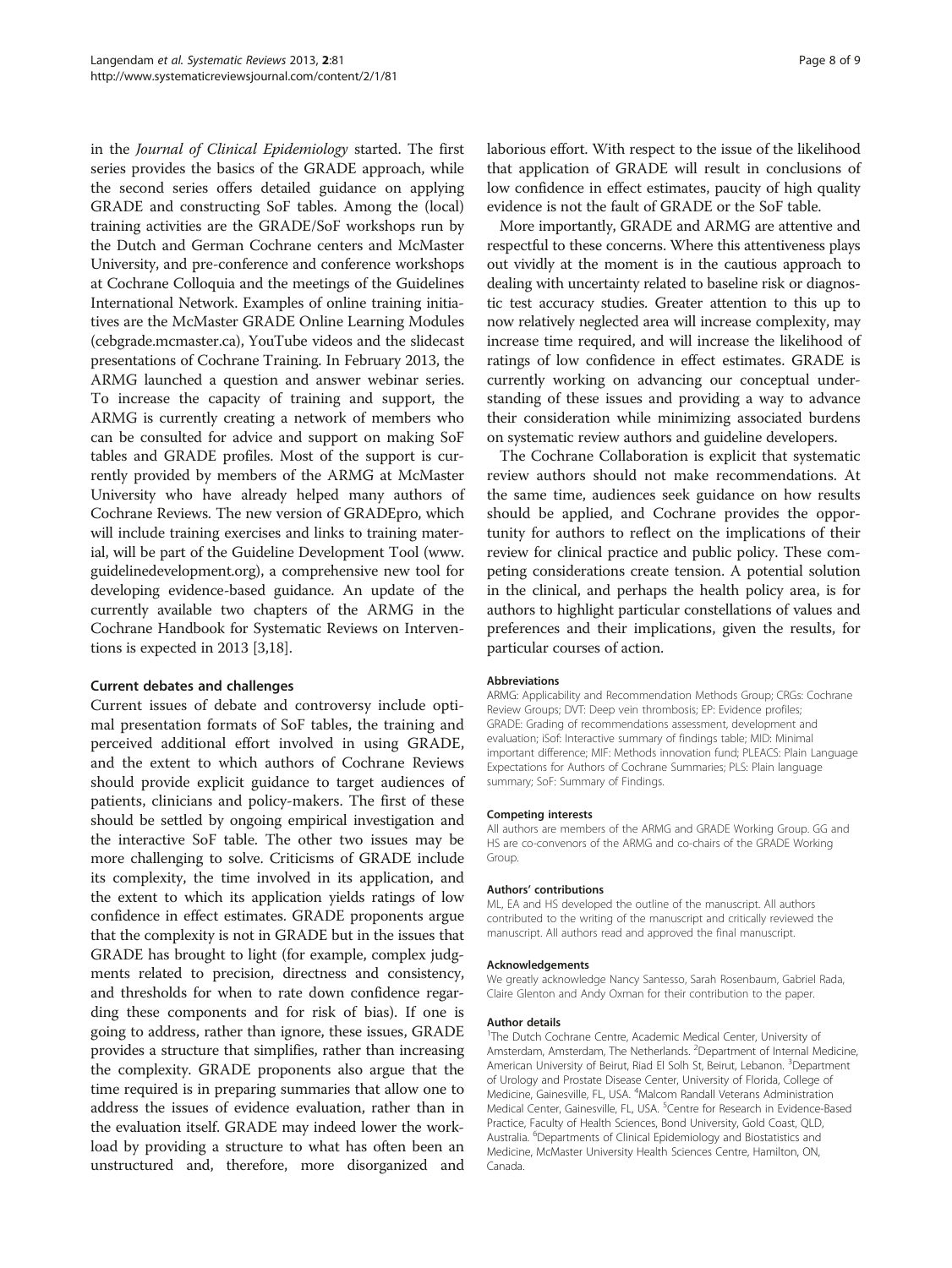in the Journal of Clinical Epidemiology started. The first series provides the basics of the GRADE approach, while the second series offers detailed guidance on applying GRADE and constructing SoF tables. Among the (local) training activities are the GRADE/SoF workshops run by the Dutch and German Cochrane centers and McMaster University, and pre-conference and conference workshops at Cochrane Colloquia and the meetings of the Guidelines International Network. Examples of online training initiatives are the McMaster GRADE Online Learning Modules (cebgrade.mcmaster.ca), YouTube videos and the slidecast presentations of Cochrane Training. In February 2013, the ARMG launched a question and answer webinar series. To increase the capacity of training and support, the ARMG is currently creating a network of members who can be consulted for advice and support on making SoF tables and GRADE profiles. Most of the support is currently provided by members of the ARMG at McMaster University who have already helped many authors of Cochrane Reviews. The new version of GRADEpro, which will include training exercises and links to training material, will be part of the Guideline Development Tool [\(www.](http://www.guidelinedevelopment.org) [guidelinedevelopment.org\)](http://www.guidelinedevelopment.org), a comprehensive new tool for developing evidence-based guidance. An update of the currently available two chapters of the ARMG in the Cochrane Handbook for Systematic Reviews on Interventions is expected in 2013 [\[3,18\]](#page-8-0).

#### Current debates and challenges

Current issues of debate and controversy include optimal presentation formats of SoF tables, the training and perceived additional effort involved in using GRADE, and the extent to which authors of Cochrane Reviews should provide explicit guidance to target audiences of patients, clinicians and policy-makers. The first of these should be settled by ongoing empirical investigation and the interactive SoF table. The other two issues may be more challenging to solve. Criticisms of GRADE include its complexity, the time involved in its application, and the extent to which its application yields ratings of low confidence in effect estimates. GRADE proponents argue that the complexity is not in GRADE but in the issues that GRADE has brought to light (for example, complex judgments related to precision, directness and consistency, and thresholds for when to rate down confidence regarding these components and for risk of bias). If one is going to address, rather than ignore, these issues, GRADE provides a structure that simplifies, rather than increasing the complexity. GRADE proponents also argue that the time required is in preparing summaries that allow one to address the issues of evidence evaluation, rather than in the evaluation itself. GRADE may indeed lower the workload by providing a structure to what has often been an unstructured and, therefore, more disorganized and laborious effort. With respect to the issue of the likelihood that application of GRADE will result in conclusions of low confidence in effect estimates, paucity of high quality evidence is not the fault of GRADE or the SoF table.

More importantly, GRADE and ARMG are attentive and respectful to these concerns. Where this attentiveness plays out vividly at the moment is in the cautious approach to dealing with uncertainty related to baseline risk or diagnostic test accuracy studies. Greater attention to this up to now relatively neglected area will increase complexity, may increase time required, and will increase the likelihood of ratings of low confidence in effect estimates. GRADE is currently working on advancing our conceptual understanding of these issues and providing a way to advance their consideration while minimizing associated burdens on systematic review authors and guideline developers.

The Cochrane Collaboration is explicit that systematic review authors should not make recommendations. At the same time, audiences seek guidance on how results should be applied, and Cochrane provides the opportunity for authors to reflect on the implications of their review for clinical practice and public policy. These competing considerations create tension. A potential solution in the clinical, and perhaps the health policy area, is for authors to highlight particular constellations of values and preferences and their implications, given the results, for particular courses of action.

#### Abbreviations

ARMG: Applicability and Recommendation Methods Group; CRGs: Cochrane Review Groups; DVT: Deep vein thrombosis; EP: Evidence profiles; GRADE: Grading of recommendations assessment, development and evaluation; iSof: Interactive summary of findings table; MID: Minimal important difference; MIF: Methods innovation fund; PLEACS: Plain Language Expectations for Authors of Cochrane Summaries; PLS: Plain language summary; SoF: Summary of Findings.

#### Competing interests

All authors are members of the ARMG and GRADE Working Group. GG and HS are co-convenors of the ARMG and co-chairs of the GRADE Working Group.

#### Authors' contributions

ML, EA and HS developed the outline of the manuscript. All authors contributed to the writing of the manuscript and critically reviewed the manuscript. All authors read and approved the final manuscript.

#### Acknowledgements

We greatly acknowledge Nancy Santesso, Sarah Rosenbaum, Gabriel Rada, Claire Glenton and Andy Oxman for their contribution to the paper.

#### Author details

<sup>1</sup>The Dutch Cochrane Centre, Academic Medical Center, University of Amsterdam, Amsterdam, The Netherlands. <sup>2</sup>Department of Internal Medicine American University of Beirut, Riad El Solh St, Beirut, Lebanon. <sup>3</sup>Department of Urology and Prostate Disease Center, University of Florida, College of Medicine, Gainesville, FL, USA. <sup>4</sup>Malcom Randall Veterans Administration Medical Center, Gainesville, FL, USA. <sup>5</sup>Centre for Research in Evidence-Based Practice, Faculty of Health Sciences, Bond University, Gold Coast, QLD, Australia. <sup>6</sup>Departments of Clinical Epidemiology and Biostatistics and Medicine, McMaster University Health Sciences Centre, Hamilton, ON, Canada.